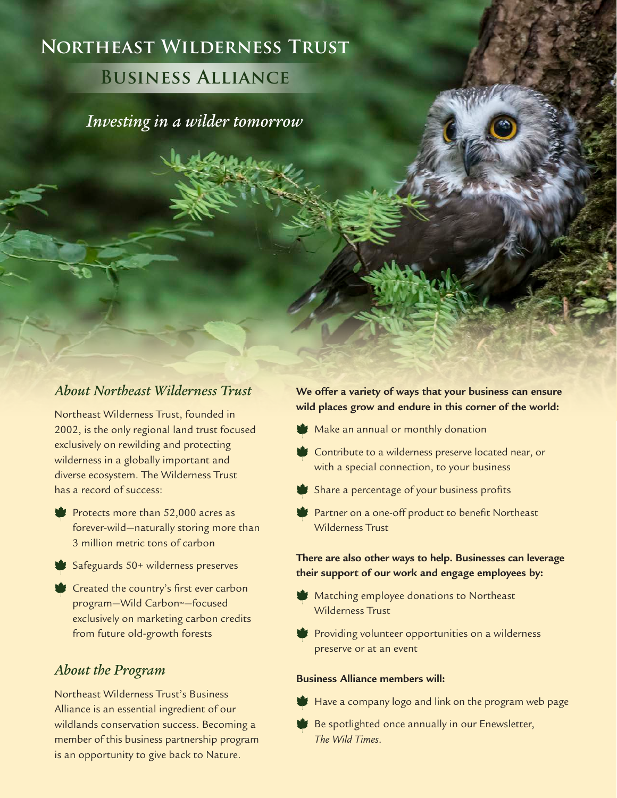# **Northeast Wilderness Trust**

## **Business Alliance**

*Investing in a wilder tomorrow*

## *About Northeast Wilderness Trust*

Northeast Wilderness Trust, founded in 2002, is the only regional land trust focused exclusively on rewilding and protecting wilderness in a globally important and diverse ecosystem. The Wilderness Trust has a record of success:

- Protects more than 52,000 acres as forever-wild—naturally storing more than 3 million metric tons of carbon
- Safeguards 50+ wilderness preserves
- **Created the country's first ever carbon** program—Wild Carbon™—focused exclusively on marketing carbon credits from future old-growth forests

## *About the Program*

Northeast Wilderness Trust's Business Alliance is an essential ingredient of our wildlands conservation success. Becoming a member of this business partnership program is an opportunity to give back to Nature.

#### **We offer a variety of ways that your business can ensure wild places grow and endure in this corner of the world:**

- Make an annual or monthly donation
- Contribute to a wilderness preserve located near, or with a special connection, to your business
- Share a percentage of your business profits
- Partner on a one-off product to benefit Northeast Wilderness Trust

#### **There are also other ways to help. Businesses can leverage their support of our work and engage employees by:**

- **Matching employee donations to Northeast** Wilderness Trust
- **Providing volunteer opportunities on a wilderness** preserve or at an event

#### **Business Alliance members will:**

- Have a company logo and link on the program web page
- Be spotlighted once annually in our Enewsletter, *The Wild Times*.